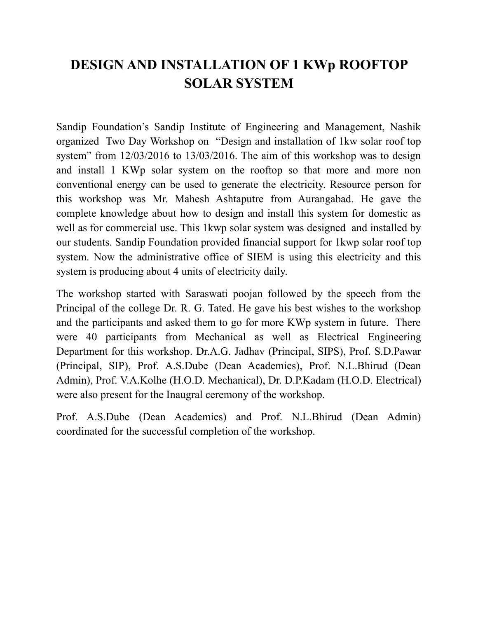## **DESIGN AND INSTALLATION OF 1 KWp ROOFTOP SOLAR SYSTEM**

Sandip Foundation's Sandip Institute of Engineering and Management, Nashik organized Two Day Workshop on "Design and installation of 1kw solar roof top system" from  $12/03/2016$  to  $13/03/2016$ . The aim of this workshop was to design and install 1 KWp solar system on the rooftop so that more and more non conventional energy can be used to generate the electricity. Resource person for this workshop was Mr. Mahesh Ashtaputre from Aurangabad. He gave the complete knowledge about how to design and install this system for domestic as well as for commercial use. This 1kwp solar system was designed and installed by our students. Sandip Foundation provided financial support for 1kwp solar roof top system. Now the administrative office of SIEM is using this electricity and this system is producing about 4 units of electricity daily.

The workshop started with Saraswati poojan followed by the speech from the Principal of the college Dr. R. G. Tated. He gave his best wishes to the workshop and the participants and asked them to go for more KWp system in future. There were 40 participants from Mechanical as well as Electrical Engineering Department for this workshop. Dr.A.G. Jadhav (Principal, SIPS), Prof. S.D.Pawar (Principal, SIP), Prof. A.S.Dube (Dean Academics), Prof. N.L.Bhirud (Dean Admin), Prof. V.A.Kolhe (H.O.D. Mechanical), Dr. D.P.Kadam (H.O.D. Electrical) were also present for the Inaugral ceremony of the workshop.

Prof. A.S.Dube (Dean Academics) and Prof. N.L.Bhirud (Dean Admin) coordinated for the successful completion of the workshop.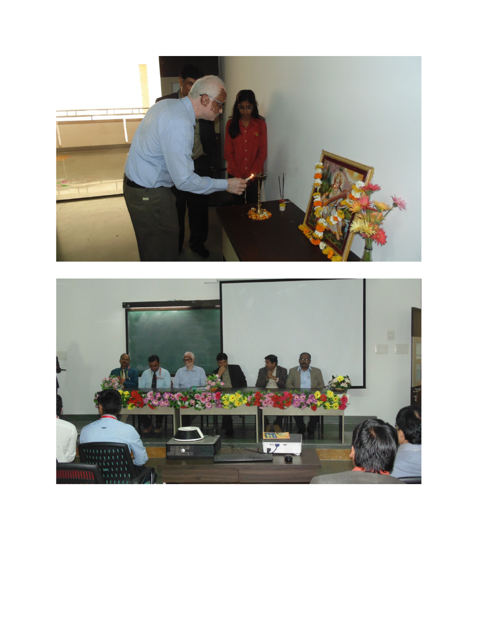